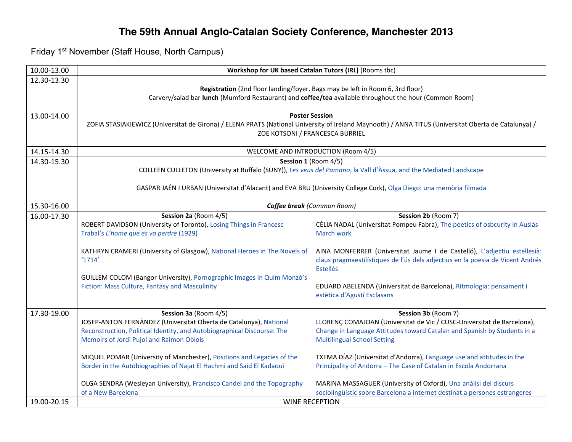## **The 59th Annual Anglo-Catalan Society Conference, Manchester 2013**

Friday 1st November (Staff House, North Campus)

| 10.00-13.00 | Workshop for UK based Catalan Tutors (IRL) (Rooms tbc)                                                                                                                                                           |                                                                                                                                                                               |  |
|-------------|------------------------------------------------------------------------------------------------------------------------------------------------------------------------------------------------------------------|-------------------------------------------------------------------------------------------------------------------------------------------------------------------------------|--|
| 12.30-13.30 | Registration (2nd floor landing/foyer. Bags may be left in Room 6, 3rd floor)<br>Carvery/salad bar lunch (Mumford Restaurant) and coffee/tea available throughout the hour (Common Room)                         |                                                                                                                                                                               |  |
| 13.00-14.00 | <b>Poster Session</b><br>ZOFIA STASIAKIEWICZ (Universitat de Girona) / ELENA PRATS (National University of Ireland Maynooth) / ANNA TITUS (Universitat Oberta de Catalunya) /<br>ZOE KOTSONI / FRANCESCA BURRIEL |                                                                                                                                                                               |  |
| 14.15-14.30 | WELCOME AND INTRODUCTION (Room 4/5)                                                                                                                                                                              |                                                                                                                                                                               |  |
| 14.30-15.30 | Session 1 (Room 4/5)                                                                                                                                                                                             |                                                                                                                                                                               |  |
|             | COLLEEN CULLETON (University at Buffalo (SUNY)), Les veus del Pamano, la Vall d'Àssua, and the Mediated Landscape                                                                                                |                                                                                                                                                                               |  |
|             | GASPAR JAÉN I URBAN (Universitat d'Alacant) and EVA BRU (University College Cork), Olga Diego: una memòria filmada                                                                                               |                                                                                                                                                                               |  |
| 15.30-16.00 | Coffee break (Common Room)                                                                                                                                                                                       |                                                                                                                                                                               |  |
| 16.00-17.30 | Session 2a (Room 4/5)<br>ROBERT DAVIDSON (University of Toronto), Losing Things in Francesc                                                                                                                      | Session 2b (Room 7)<br>CÈLIA NADAL (Universitat Pompeu Fabra), The poetics of osbcurity in Ausiàs                                                                             |  |
|             | Trabal's L'home que es va perdre (1929)                                                                                                                                                                          | March work                                                                                                                                                                    |  |
|             | KATHRYN CRAMERI (University of Glasgow), National Heroes in The Novels of<br>'1714'                                                                                                                              | AINA MONFERRER (Universitat Jaume I de Castelló), L'adjectiu estellesià:<br>claus pragmaestilístiques de l'ús dels adjectius en la poesia de Vicent Andrés<br><b>Estellés</b> |  |
|             | GUILLEM COLOM (Bangor University), Pornographic Images in Quim Monzó's                                                                                                                                           |                                                                                                                                                                               |  |
|             | Fiction: Mass Culture, Fantasy and Masculinity                                                                                                                                                                   | EDUARD ABELENDA (Universitat de Barcelona), Ritmologia: pensament i<br>estètica d'Agustí Esclasans                                                                            |  |
| 17.30-19.00 | Session 3a (Room 4/5)                                                                                                                                                                                            | Session 3b (Room 7)                                                                                                                                                           |  |
|             | JOSEP-ANTON FERNÀNDEZ (Universitat Oberta de Catalunya), National                                                                                                                                                | LLORENÇ COMAJOAN (Universitat de Vic / CUSC-Universitat de Barcelona),                                                                                                        |  |
|             | Reconstruction, Political Identity, and Autobiographical Discourse: The<br>Memoirs of Jordi Pujol and Raimon Obiols                                                                                              | Change in Language Attitudes toward Catalan and Spanish by Students in a<br><b>Multilingual School Setting</b>                                                                |  |
|             | MIQUEL POMAR (University of Manchester), Positions and Legacies of the<br>Border in the Autobiographies of Najat El Hachmi and Saïd El Kadaoui                                                                   | TXEMA DÍAZ (Universitat d'Andorra), Language use and attitudes in the<br>Principality of Andorra - The Case of Catalan in Escola Andorrana                                    |  |
|             | OLGA SENDRA (Wesleyan University), Francisco Candel and the Topography<br>of a New Barcelona                                                                                                                     | MARINA MASSAGUER (University of Oxford), Una anàlisi del discurs<br>sociolingüístic sobre Barcelona a internet destinat a persones estrangeres                                |  |
| 19.00-20.15 | <b>WINE RECEPTION</b>                                                                                                                                                                                            |                                                                                                                                                                               |  |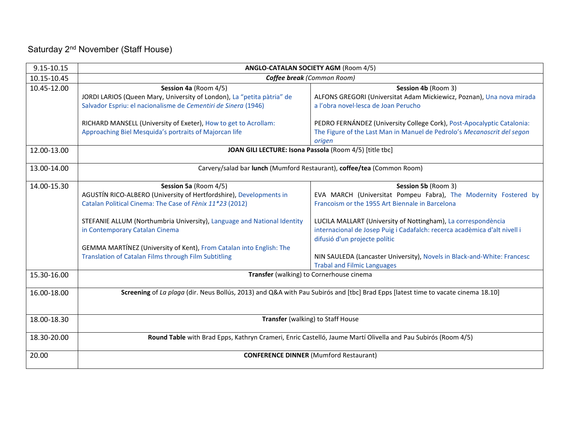## Saturday 2<sup>nd</sup> November (Staff House)

| 9.15-10.15  | ANGLO-CATALAN SOCIETY AGM (Room 4/5)                                                                                                                                                                                                                                                                                                                                                                |                                                                                                                                                                                                                                                                                                                                                                                                                                           |  |
|-------------|-----------------------------------------------------------------------------------------------------------------------------------------------------------------------------------------------------------------------------------------------------------------------------------------------------------------------------------------------------------------------------------------------------|-------------------------------------------------------------------------------------------------------------------------------------------------------------------------------------------------------------------------------------------------------------------------------------------------------------------------------------------------------------------------------------------------------------------------------------------|--|
| 10.15-10.45 | Coffee break (Common Room)                                                                                                                                                                                                                                                                                                                                                                          |                                                                                                                                                                                                                                                                                                                                                                                                                                           |  |
| 10.45-12.00 | Session 4a (Room 4/5)<br>JORDI LARIOS (Queen Mary, University of London), La "petita pàtria" de<br>Salvador Espriu: el nacionalisme de Cementiri de Sinera (1946)                                                                                                                                                                                                                                   | Session 4b (Room 3)<br>ALFONS GREGORI (Universitat Adam Mickiewicz, Poznan), Una nova mirada<br>a l'obra novel·lesca de Joan Perucho                                                                                                                                                                                                                                                                                                      |  |
|             | RICHARD MANSELL (University of Exeter), How to get to Acrollam:<br>Approaching Biel Mesquida's portraits of Majorcan life                                                                                                                                                                                                                                                                           | PEDRO FERNÁNDEZ (University College Cork), Post-Apocalyptic Catalonia:<br>The Figure of the Last Man in Manuel de Pedrolo's Mecanoscrit del segon<br>origen                                                                                                                                                                                                                                                                               |  |
| 12.00-13.00 | JOAN GILI LECTURE: Isona Passola (Room 4/5) [title tbc]                                                                                                                                                                                                                                                                                                                                             |                                                                                                                                                                                                                                                                                                                                                                                                                                           |  |
| 13.00-14.00 | Carvery/salad bar lunch (Mumford Restaurant), coffee/tea (Common Room)                                                                                                                                                                                                                                                                                                                              |                                                                                                                                                                                                                                                                                                                                                                                                                                           |  |
| 14.00-15.30 | Session 5a (Room 4/5)<br>AGUSTÍN RICO-ALBERO (University of Hertfordshire), Developments in<br>Catalan Political Cinema: The Case of Fènix 11*23 (2012)<br>STEFANIE ALLUM (Northumbria University), Language and National Identity<br>in Contemporary Catalan Cinema<br>GEMMA MARTÍNEZ (University of Kent), From Catalan into English: The<br>Translation of Catalan Films through Film Subtitling | Session 5b (Room 3)<br>EVA MARCH (Universitat Pompeu Fabra), The Modernity Fostered by<br>Francoism or the 1955 Art Biennale in Barcelona<br>LUCILA MALLART (University of Nottingham), La correspondència<br>internacional de Josep Puig i Cadafalch: recerca acadèmica d'alt nivell i<br>difusió d'un projecte polític<br>NIN SAULEDA (Lancaster University), Novels in Black-and-White: Francesc<br><b>Trabal and Filmic Languages</b> |  |
| 15.30-16.00 | Transfer (walking) to Cornerhouse cinema                                                                                                                                                                                                                                                                                                                                                            |                                                                                                                                                                                                                                                                                                                                                                                                                                           |  |
| 16.00-18.00 | Screening of La plaga (dir. Neus Bollús, 2013) and Q&A with Pau Subirós and [tbc] Brad Epps [latest time to vacate cinema 18.10]                                                                                                                                                                                                                                                                    |                                                                                                                                                                                                                                                                                                                                                                                                                                           |  |
| 18.00-18.30 | Transfer (walking) to Staff House                                                                                                                                                                                                                                                                                                                                                                   |                                                                                                                                                                                                                                                                                                                                                                                                                                           |  |
| 18.30-20.00 | Round Table with Brad Epps, Kathryn Crameri, Enric Castelló, Jaume Martí Olivella and Pau Subirós (Room 4/5)                                                                                                                                                                                                                                                                                        |                                                                                                                                                                                                                                                                                                                                                                                                                                           |  |
| 20.00       | <b>CONFERENCE DINNER (Mumford Restaurant)</b>                                                                                                                                                                                                                                                                                                                                                       |                                                                                                                                                                                                                                                                                                                                                                                                                                           |  |